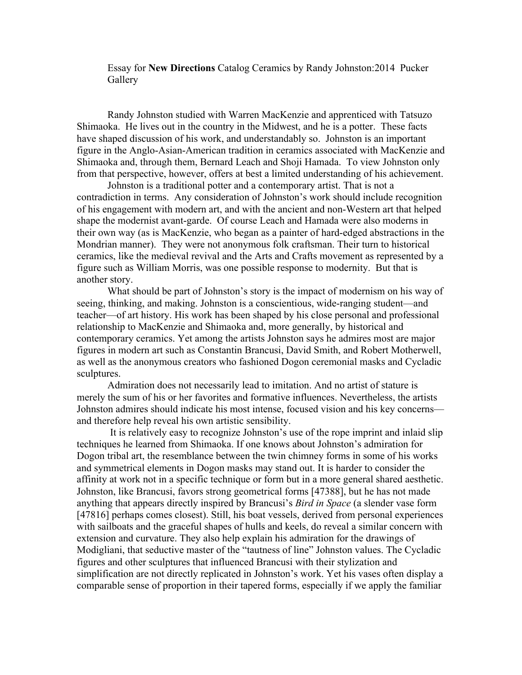Essay for **New Directions** Catalog Ceramics by Randy Johnston:2014 Pucker **Gallery** 

Randy Johnston studied with Warren MacKenzie and apprenticed with Tatsuzo Shimaoka. He lives out in the country in the Midwest, and he is a potter. These facts have shaped discussion of his work, and understandably so. Johnston is an important figure in the Anglo-Asian-American tradition in ceramics associated with MacKenzie and Shimaoka and, through them, Bernard Leach and Shoji Hamada. To view Johnston only from that perspective, however, offers at best a limited understanding of his achievement.

Johnston is a traditional potter and a contemporary artist. That is not a contradiction in terms. Any consideration of Johnston's work should include recognition of his engagement with modern art, and with the ancient and non-Western art that helped shape the modernist avant-garde. Of course Leach and Hamada were also moderns in their own way (as is MacKenzie, who began as a painter of hard-edged abstractions in the Mondrian manner). They were not anonymous folk craftsman. Their turn to historical ceramics, like the medieval revival and the Arts and Crafts movement as represented by a figure such as William Morris, was one possible response to modernity. But that is another story.

What should be part of Johnston's story is the impact of modernism on his way of seeing, thinking, and making. Johnston is a conscientious, wide-ranging student—and teacher—of art history. His work has been shaped by his close personal and professional relationship to MacKenzie and Shimaoka and, more generally, by historical and contemporary ceramics. Yet among the artists Johnston says he admires most are major figures in modern art such as Constantin Brancusi, David Smith, and Robert Motherwell, as well as the anonymous creators who fashioned Dogon ceremonial masks and Cycladic sculptures.

Admiration does not necessarily lead to imitation. And no artist of stature is merely the sum of his or her favorites and formative influences. Nevertheless, the artists Johnston admires should indicate his most intense, focused vision and his key concerns and therefore help reveal his own artistic sensibility.

It is relatively easy to recognize Johnston's use of the rope imprint and inlaid slip techniques he learned from Shimaoka. If one knows about Johnston's admiration for Dogon tribal art, the resemblance between the twin chimney forms in some of his works and symmetrical elements in Dogon masks may stand out. It is harder to consider the affinity at work not in a specific technique or form but in a more general shared aesthetic. Johnston, like Brancusi, favors strong geometrical forms [47388], but he has not made anything that appears directly inspired by Brancusi's *Bird in Space* (a slender vase form [47816] perhaps comes closest). Still, his boat vessels, derived from personal experiences with sailboats and the graceful shapes of hulls and keels, do reveal a similar concern with extension and curvature. They also help explain his admiration for the drawings of Modigliani, that seductive master of the "tautness of line" Johnston values. The Cycladic figures and other sculptures that influenced Brancusi with their stylization and simplification are not directly replicated in Johnston's work. Yet his vases often display a comparable sense of proportion in their tapered forms, especially if we apply the familiar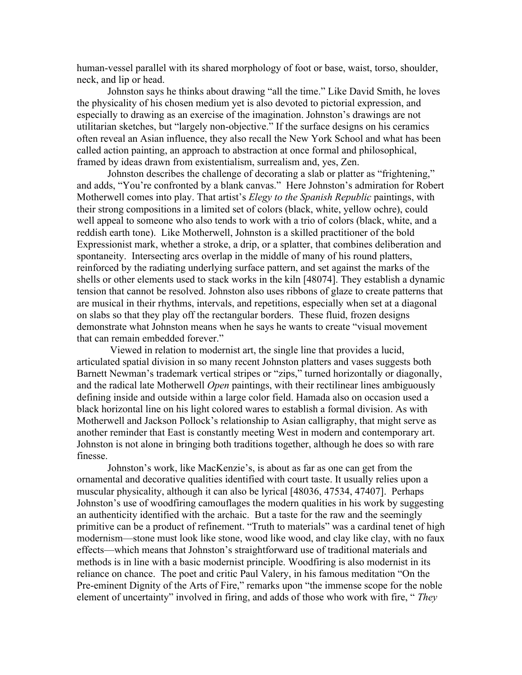human-vessel parallel with its shared morphology of foot or base, waist, torso, shoulder, neck, and lip or head.

Johnston says he thinks about drawing "all the time." Like David Smith, he loves the physicality of his chosen medium yet is also devoted to pictorial expression, and especially to drawing as an exercise of the imagination. Johnston's drawings are not utilitarian sketches, but "largely non-objective." If the surface designs on his ceramics often reveal an Asian influence, they also recall the New York School and what has been called action painting, an approach to abstraction at once formal and philosophical, framed by ideas drawn from existentialism, surrealism and, yes, Zen.

Johnston describes the challenge of decorating a slab or platter as "frightening," and adds, "You're confronted by a blank canvas." Here Johnston's admiration for Robert Motherwell comes into play. That artist's *Elegy to the Spanish Republic* paintings, with their strong compositions in a limited set of colors (black, white, yellow ochre), could well appeal to someone who also tends to work with a trio of colors (black, white, and a reddish earth tone). Like Motherwell, Johnston is a skilled practitioner of the bold Expressionist mark, whether a stroke, a drip, or a splatter, that combines deliberation and spontaneity. Intersecting arcs overlap in the middle of many of his round platters, reinforced by the radiating underlying surface pattern, and set against the marks of the shells or other elements used to stack works in the kiln [48074]. They establish a dynamic tension that cannot be resolved. Johnston also uses ribbons of glaze to create patterns that are musical in their rhythms, intervals, and repetitions, especially when set at a diagonal on slabs so that they play off the rectangular borders. These fluid, frozen designs demonstrate what Johnston means when he says he wants to create "visual movement that can remain embedded forever."

Viewed in relation to modernist art, the single line that provides a lucid, articulated spatial division in so many recent Johnston platters and vases suggests both Barnett Newman's trademark vertical stripes or "zips," turned horizontally or diagonally, and the radical late Motherwell *Open* paintings, with their rectilinear lines ambiguously defining inside and outside within a large color field. Hamada also on occasion used a black horizontal line on his light colored wares to establish a formal division. As with Motherwell and Jackson Pollock's relationship to Asian calligraphy, that might serve as another reminder that East is constantly meeting West in modern and contemporary art. Johnston is not alone in bringing both traditions together, although he does so with rare finesse.

Johnston's work, like MacKenzie's, is about as far as one can get from the ornamental and decorative qualities identified with court taste. It usually relies upon a muscular physicality, although it can also be lyrical [48036, 47534, 47407]. Perhaps Johnston's use of woodfiring camouflages the modern qualities in his work by suggesting an authenticity identified with the archaic. But a taste for the raw and the seemingly primitive can be a product of refinement. "Truth to materials" was a cardinal tenet of high modernism—stone must look like stone, wood like wood, and clay like clay, with no faux effects—which means that Johnston's straightforward use of traditional materials and methods is in line with a basic modernist principle. Woodfiring is also modernist in its reliance on chance. The poet and critic Paul Valery, in his famous meditation "On the Pre-eminent Dignity of the Arts of Fire," remarks upon "the immense scope for the noble element of uncertainty" involved in firing, and adds of those who work with fire, " *They*